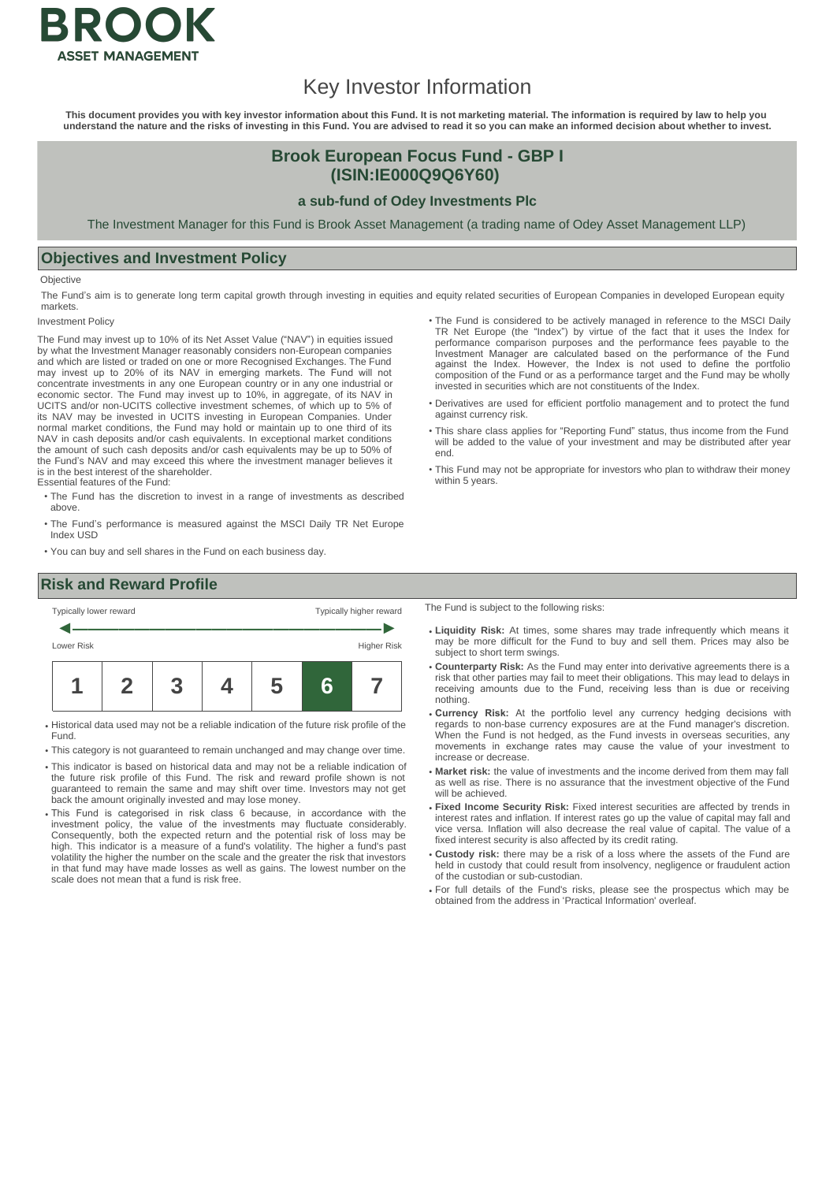

# Key Investor Information

This document provides you with key investor information about this Fund. It is not marketing material. The information is required by law to help you<br>understand the nature and the risks of investing in this Fund. You are

## **Brook European Focus Fund - GBP I (ISIN:IE000Q9Q6Y60)**

#### **a sub-fund of Odey Investments Plc**

The Investment Manager for this Fund is Brook Asset Management (a trading name of Odey Asset Management LLP)

### **Objectives and Investment Policy**

**Objective** 

The Fund's aim is to generate long term capital growth through investing in equities and equity related securities of European Companies in developed European equity markets.

**Investment Policy** 

The Fund may invest up to 10% of its Net Asset Value ("NAV") in equities issued by what the Investment Manager reasonably considers non-European companies and which are listed or traded on one or more Recognised Exchanges. The Fund may invest up to 20% of its NAV in emerging markets. The Fund will not concentrate investments in any one European country or in any one industrial or economic sector. The Fund may invest up to 10%, in aggregate, of its NAV in UCITS and/or non-UCITS collective investment schemes, of which up to 5% of its NAV may be invested in UCITS investing in European Companies. Under normal market conditions, the Fund may hold or maintain up to one third of its NAV in cash deposits and/or cash equivalents. In exceptional market conditions the amount of such cash deposits and/or cash equivalents may be up to 50% of the Fund's NAV and may exceed this where the investment manager believes it is in the best interest of the shareholder.

Essential features of the Fund:

- The Fund has the discretion to invest in a range of investments as described above.
- The Fund's performance is measured against the MSCI Daily TR Net Europe Index USD
- You can buy and sell shares in the Fund on each business day.
- The Fund is considered to be actively managed in reference to the MSCI Daily TR Net Europe (the "Index") by virtue of the fact that it uses the Index for performance comparison purposes and the performance fees payable to the Investment Manager are calculated based on the performance of the Fund against the Index. However, the Index is not used to define the portfolio composition of the Fund or as a performance target and the Fund may be wholly invested in securities which are not constituents of the Index.
- Derivatives are used for efficient portfolio management and to protect the fund against currency risk.
- This share class applies for "Reporting Fund" status, thus income from the Fund will be added to the value of your investment and may be distributed after year end.
- This Fund may not be appropriate for investors who plan to withdraw their money within 5 years.

# **Risk and Reward Profile**



- Historical data used may not be a reliable indication of the future risk profile of the Fund.
- This category is not guaranteed to remain unchanged and may change over time.
- This indicator is based on historical data and may not be a reliable indication of the future risk profile of this Fund. The risk and reward profile shown is not guaranteed to remain the same and may shift over time. Investors may not get back the amount originally invested and may lose money.
- This Fund is categorised in risk class 6 because, in accordance with the investment policy, the value of the investments may fluctuate considerably. Consequently, both the expected return and the potential risk of loss may be high. This indicator is a measure of a fund's volatility. The higher a fund's past volatility the higher the number on the scale and the greater the risk that investors in that fund may have made losses as well as gains. The lowest number on the scale does not mean that a fund is risk free.

The Fund is subject to the following risks:

- **Liquidity Risk:** At times, some shares may trade infrequently which means it may be more difficult for the Fund to buy and sell them. Prices may also be subject to short term swings.
- **Counterparty Risk:** As the Fund may enter into derivative agreements there is a risk that other parties may fail to meet their obligations. This may lead to delays in receiving amounts due to the Fund, receiving less than is due or receiving nothing.
- **Currency Risk:** At the portfolio level any currency hedging decisions with regards to non-base currency exposures are at the Fund manager's discretion. When the Fund is not hedged, as the Fund invests in overseas securities, any movements in exchange rates may cause the value of your investment to increase or decrease.
- **Market risk:** the value of investments and the income derived from them may fall as well as rise. There is no assurance that the investment objective of the Fund will be achieved.
- **Fixed Income Security Risk:** Fixed interest securities are affected by trends in interest rates and inflation. If interest rates go up the value of capital may fall and vice versa. Inflation will also decrease the real value of capital. The value of a fixed interest security is also affected by its credit rating.
- **Custody risk:** there may be a risk of a loss where the assets of the Fund are held in custody that could result from insolvency, negligence or fraudulent action of the custodian or sub-custodian.
- For full details of the Fund's risks, please see the prospectus which may be obtained from the address in 'Practical Information' overleaf.